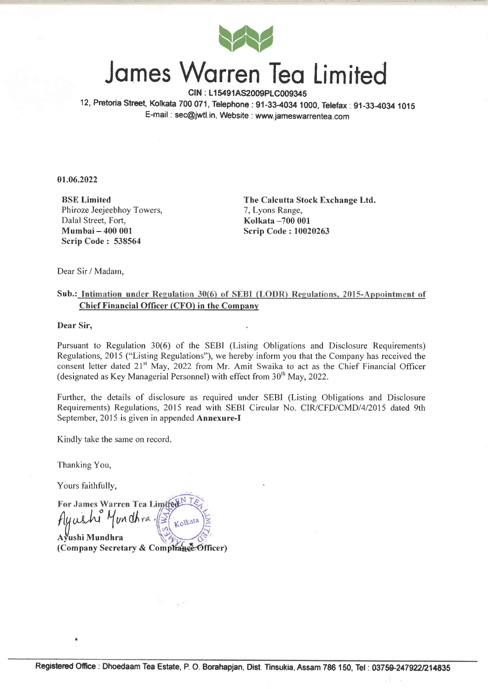

## Jomes Worren Teo Limited

CIN : L15491AS2009PLC009345 12, Pretoria Street, Kolkata 700 071, Telephone : 91-33-4034 1000, Telefax : 91-33-4034 1015 E-mail : sec@jwfl.in, Website : www.jameswarrentea.com

0r.06.2022

BSE Limited Phiroze Jeejeebhoy Towers, Dalal Street, Fort, Mumbai - 400 001 Scrip Code: 538564

The Calcutta Stock Exchange Ltd. 7, Lyons Range, Kolkata -700 <sup>001</sup> Scrip Code: 10020263

Dear Sir / Madam,

## Sub.: Intimation under Regulation 30(6) of SEBI (LODR) Regulations, 2015-Appointment of Chief Financial Officer (CFO) in the Companv

Dear Sir.

Pursuant to Regulation 30(6) of the SEBI (Listing Obligations and Disclosure Requirements) Regulations,20l5 ("Listing Regulations"), we hereby inform you that the Company has received the consent letter dated 21<sup>st</sup> May, 2022 from Mr. Amit Swaika to act as the Chief Financial Officer (designated as Key Managerial Personnel) with effect from  $30<sup>th</sup>$  May, 2022.

Further, the details of disclosure as required under SEBI (Listing Obligations and Disclosure Requirements) Regulations, 2015 read with SEBI Circular No. CIR/CFD/CMD/4/2015 dated 9th September, 2015 is given in appended **Annexure-I** 

Kindly take the same on record.

Thanking You,

Yours faithfully,

For James Warren Tea Limited Munchra Kolkata AVushi Mundhra (Company Secretary & Compliance Officer)